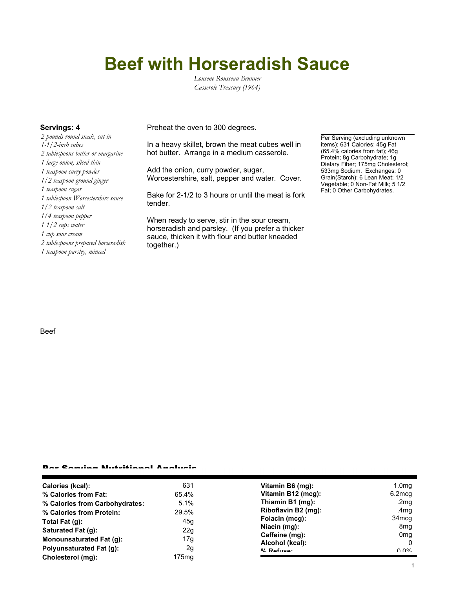# **Beef with Horseradish Sauce**

*Lousene Rousseau Brunner Casserole Treasury (1964)*

*2 pounds round steak, cut in 1-1/2-inch cubes 2 tablespoons butter or margarine 1 large onion, sliced thin 1 teaspoon curry powder 1/2 teaspoon ground ginger 1 teaspoon sugar 1 tablespoon Worcestershire sauce 1/2 teaspoon salt 1/4 teaspoon pepper 1 1/2 cups water 1 cup sour cream 2 tablespoons prepared horseradish 1 teaspoon parsley, minced*

**Servings: 4** Preheat the oven to 300 degrees.

In a heavy skillet, brown the meat cubes well in hot butter. Arrange in a medium casserole.

Add the onion, curry powder, sugar, Worcestershire, salt, pepper and water. Cover.

Bake for 2-1/2 to 3 hours or until the meat is fork tender.

When ready to serve, stir in the sour cream, horseradish and parsley. (If you prefer a thicker sauce, thicken it with flour and butter kneaded together.)

Per Serving (excluding unknown items): 631 Calories; 45g Fat (65.4% calories from fat); 46g Protein; 8g Carbohydrate; 1g Dietary Fiber; 175mg Cholesterol; 533mg Sodium. Exchanges: 0 Grain(Starch); 6 Lean Meat; 1/2 Vegetable; 0 Non-Fat Milk; 5 1/2 Fat; 0 Other Carbohydrates.

#### Beef

#### Per Serving Nutritional Analysis

| <b>Calories (kcal):</b>         | 631               | Vitamin B6 (mg):    | 1.0 <sub>mg</sub> |
|---------------------------------|-------------------|---------------------|-------------------|
| % Calories from Fat:            | 65.4%             | Vitamin B12 (mcg):  | 6.2mcg            |
| % Calories from Carbohydrates:  | 5.1%              | Thiamin B1 (mg):    | .2 $mg$           |
| % Calories from Protein:        | 29.5%             | Riboflavin B2 (mg): | .4mg              |
| Total Fat (q):                  | 45g               | Folacin (mcg):      | 34 <sub>mcg</sub> |
| Saturated Fat (g):              | 22g               | Niacin (mg):        | 8 <sub>mg</sub>   |
|                                 |                   | Caffeine (mg):      | 0 <sub>mg</sub>   |
| Monounsaturated Fat (q):        | 17g               | Alcohol (kcal):     | $\Omega$          |
| <b>Polyunsaturated Fat (g):</b> | 2g                | $0/2$ Pofileo:      | በ በ%              |
| Cholesterol (mg):               | 175 <sub>mg</sub> |                     |                   |
|                                 |                   |                     |                   |